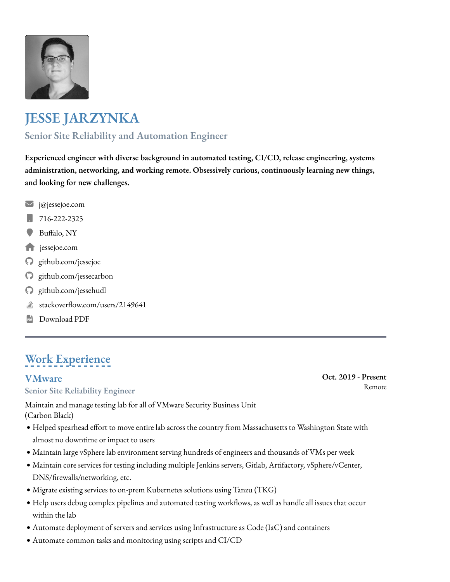

# **JESSE JARZYNKA**

## **Senior Site Reliability and Automation Engineer**

**Experienced engineer with diverse background in automated testing, CI/CD, release engineering, systems administration, networking, and working remote. Obsessively curious, continuously learning new things, and looking for new challenges.**

- [j@jessejoe.com](mailto:j@jessejoe.com) [✉](mailto:j@jessejoe.com)
- [716-222-2325](tel:716-222-2325) ["](tel:716-222-2325)
- Buf[alo, NY](https://www.google.com/maps/place/Buffalo,+NY/@42.8962176,-78.9344818,12z/)  $\bullet$
- [jessejoe.com](https://jessejoe.com/)  $\blacklozenge$
- [github.com/jessejoe](https://github.com/jessejoe)  $\boldsymbol{\Theta}$
- [github.com/jessecarbon](https://github.com/jessecarbon)  $\boldsymbol{\Theta}$
- [github.com/jessehudl](https://github.com/jessehudl)  $\boldsymbol{\Theta}$
- stackoverf[ow.com/users/2149641](https://stackoverflow.com/users/2149641) ।<br>जू
- [Download PDF](https://www.jessejoe.com/JesseJarzynkaResume.pdf)  $\begin{bmatrix} 1 \\ \text{PDF} \end{bmatrix}$

# **Work Experience**

## **[VMware](https://www.vmware.com/)**

### **Senior Site Reliability Engineer**

Maintain and manage testing lab for all of VMware Security Business Unit (Carbon Black)

- · Helped spearhead effort to move entire lab across the country from Massachusetts to Washington State with almost no downtime or impact to users
- · Maintain large vSphere lab environment serving hundreds of engineers and thousands of VMs per week
- · Maintain core services for testing including multiple Jenkins servers, Gitlab, Artifactory, vSphere/vCenter, DNS/frewalls/networking, etc.
- · Migrate existing services to on-prem Kubernetes solutions using Tanzu (TKG)
- . Help users debug complex pipelines and automated testing workflows, as well as handle all issues that occur within the lab
- !" Automate deployment of servers and services using Infrastructure as Code (IaC) and containers
- $\bullet$  Automate common tasks and monitoring using scripts and CI/CD

### **Oct. 2019 - Present** Remote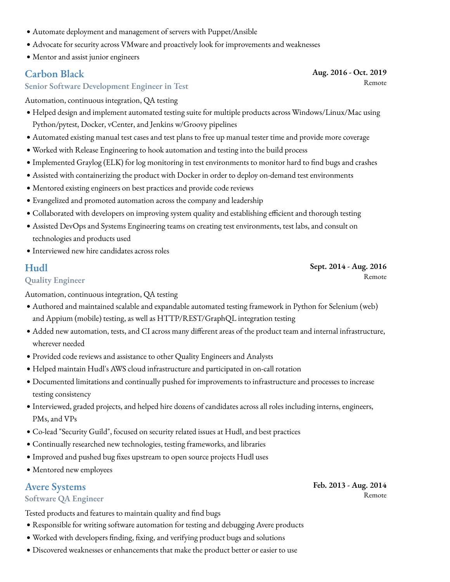- · Automate deployment and management of servers with Puppet/Ansible
- · Advocate for security across VMware and proactively look for improvements and weaknesses
- · Mentor and assist junior engineers

### **[Carbon Black](https://www.carbonblack.com/)**

**Aug. 2016 - Oct. 2019** Remote

#### **Senior Software Development Engineer in Test**

Automation, continuous integration, QA testing

- · Helped design and implement automated testing suite for multiple products across Windows/Linux/Mac using Python/pytest, Docker, vCenter, and Jenkins w/Groovy pipelines
- !" Automated existing manual test cases and test plans to free up manual tester time and provide more coverage
- . Worked with Release Engineering to hook automation and testing into the build process
- · Implemented Graylog (ELK) for log monitoring in test environments to monitor hard to find bugs and crashes
- !" Assisted with containerizing the product with Docker in order to deploy on-demand test environments
- !" Mentored existing engineers on best practices and provide code reviews
- · Evangelized and promoted automation across the company and leadership
- · Collaborated with developers on improving system quality and establishing efficient and thorough testing
- !" Assisted DevOps and Systems Engineering teams on creating test environments, test labs, and consult on technologies and products used
- · Interviewed new hire candidates across roles

### **[Hudl](https://www.hudl.com/)**

**Sept. 2014 - Aug. 2016** Remote

### **Quality Engineer**

Automation, continuous integration, QA testing

- !" Authored and maintained scalable and expandable automated testing framework in Python for Selenium (web) and Appium (mobile) testing, as well as HTTP/REST/GraphQL integration testing
- !" Added new automation, tests, and CI across many diferent areas of the product team and internal infrastructure, wherever needed
- · Provided code reviews and assistance to other Quality Engineers and Analysts
- · Helped maintain Hudl's AWS cloud infrastructure and participated in on-call rotation
- · Documented limitations and continually pushed for improvements to infrastructure and processes to increase testing consistency
- !" Interviewed, graded projects, and helped hire dozens of candidates across all roles including interns, engineers, PMs, and VPs
- !" Co-lead "Security Guild", focused on security related issues at Hudl, and best practices
- · Continually researched new technologies, testing frameworks, and libraries
- · Improved and pushed bug fixes upstream to open source projects Hudl uses
- · Mentored new employees

### **[Avere Systems](https://www.averesystems.com/)**

#### **Software QA Engineer**

Tested products and features to maintain quality and fnd bugs

- · Responsible for writing software automation for testing and debugging Avere products
- . Worked with developers finding, fixing, and verifying product bugs and solutions
- · Discovered weaknesses or enhancements that make the product better or easier to use

**Feb. 2013 - Aug. 2014** Remote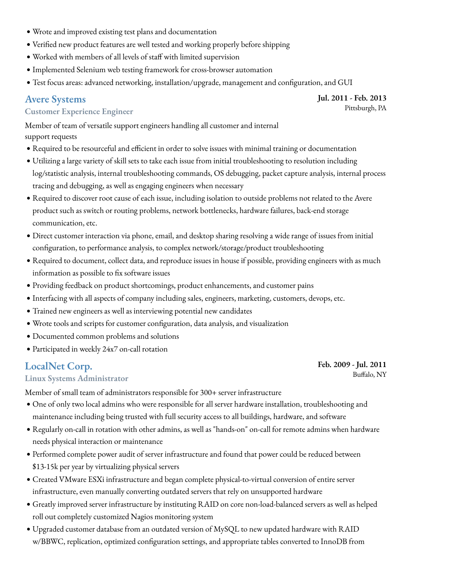- . Wrote and improved existing test plans and documentation
- !" Verifed new product features are well tested and working properly before shipping
- . Worked with members of all levels of staff with limited supervision
- · Implemented Selenium web testing framework for cross-browser automation
- · Test focus areas: advanced networking, installation/upgrade, management and configuration, and GUI

### **[Avere Systems](https://www.averesystems.com/)**

#### **Customer Experience Engineer**

Member of team of versatile support engineers handling all customer and internal support requests

- . Required to be resourceful and efficient in order to solve issues with minimal training or documentation
- . Utilizing a large variety of skill sets to take each issue from initial troubleshooting to resolution including log/statistic analysis, internal troubleshooting commands, OS debugging, packet capture analysis, internal process tracing and debugging, as well as engaging engineers when necessary
- . Required to discover root cause of each issue, including isolation to outside problems not related to the Avere product such as switch or routing problems, network bottlenecks, hardware failures, back-end storage communication, etc.
- · Direct customer interaction via phone, email, and desktop sharing resolving a wide range of issues from initial confguration, to performance analysis, to complex network/storage/product troubleshooting
- . Required to document, collect data, and reproduce issues in house if possible, providing engineers with as much information as possible to fx software issues
- · Providing feedback on product shortcomings, product enhancements, and customer pains
- !" Interfacing with all aspects of company including sales, engineers, marketing, customers, devops, etc.
- !" Trained new engineers as well as interviewing potential new candidates
- . Wrote tools and scripts for customer configuration, data analysis, and visualization
- · Documented common problems and solutions
- · Participated in weekly 24x7 on-call rotation

### **[LocalNet Corp.](https://www.localnet.com/)**

#### **Linux Systems Administrator**

Member of small team of administrators responsible for 300+ server infrastructure

- !" One of only two local admins who were responsible for all server hardware installation, troubleshooting and maintenance including being trusted with full security access to all buildings, hardware, and software
- . Regularly on-call in rotation with other admins, as well as "hands-on" on-call for remote admins when hardware needs physical interaction or maintenance
- · Performed complete power audit of server infrastructure and found that power could be reduced between \$13-15k per year by virtualizing physical servers
- Created VMware ESXi infrastructure and began complete physical-to-virtual conversion of entire server infrastructure, even manually converting outdated servers that rely on unsupported hardware
- !" Greatly improved server infrastructure by instituting RAID on core non-load-balanced servers as well as helped roll out completely customized Nagios monitoring system
- . Upgraded customer database from an outdated version of MySQL to new updated hardware with RAID w/BBWC, replication, optimized confguration settings, and appropriate tables converted to InnoDB from

**Jul. 2011 - Feb. 2013** Pittsburgh, PA

**Feb. 2009 - Jul. 2011** Bufalo, NY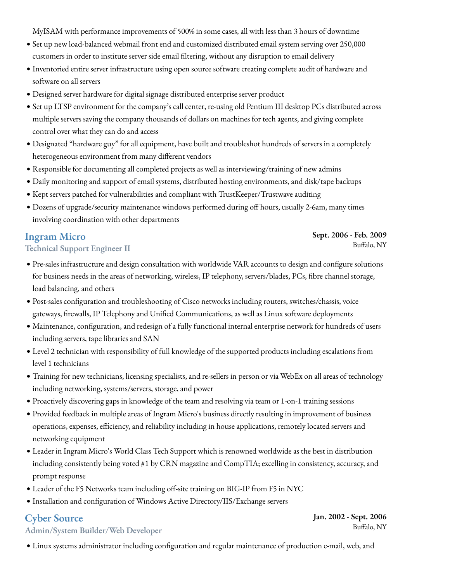MyISAM with performance improvements of 500% in some cases, all with less than 3 hours of downtime

- · Set up new load-balanced webmail front end and customized distributed email system serving over 250,000 customers in order to institute server side email fltering, without any disruption to email delivery
- !" Inventoried entire server infrastructure using open source software creating complete audit of hardware and software on all servers
- · Designed server hardware for digital signage distributed enterprise server product
- · Set up LTSP environment for the company's call center, re-using old Pentium III desktop PCs distributed across multiple servers saving the company thousands of dollars on machines for tech agents, and giving complete control over what they can do and access
- · Designated "hardware guy" for all equipment, have built and troubleshot hundreds of servers in a completely heterogeneous environment from many diferent vendors
- . Responsible for documenting all completed projects as well as interviewing/training of new admins
- · Daily monitoring and support of email systems, distributed hosting environments, and disk/tape backups
- !" Kept servers patched for vulnerabilities and compliant with TrustKeeper/Trustwave auditing
- · Dozens of upgrade/security maintenance windows performed during off hours, usually 2-6am, many times involving coordination with other departments

## **[Ingram Micro](https://www.ingrammicro.com/)**

#### **Technical Support Engineer II**

- · Pre-sales infrastructure and design consultation with worldwide VAR accounts to design and configure solutions for business needs in the areas of networking, wireless, IP telephony, servers/blades, PCs, fbre channel storage, load balancing, and others
- · Post-sales configuration and troubleshooting of Cisco networks including routers, switches/chassis, voice gateways, frewalls, IP Telephony and Unifed Communications, as well as Linux software deployments
- · Maintenance, configuration, and redesign of a fully functional internal enterprise network for hundreds of users including servers, tape libraries and SAN
- · Level 2 technician with responsibility of full knowledge of the supported products including escalations from level 1 technicians
- · Training for new technicians, licensing specialists, and re-sellers in person or via WebEx on all areas of technology including networking, systems/servers, storage, and power
- !" Proactively discovering gaps in knowledge of the team and resolving via team or 1-on-1 training sessions
- !" Provided feedback in multiple areas of Ingram Micro's business directly resulting in improvement of business operations, expenses, efficiency, and reliability including in house applications, remotely located servers and networking equipment
- · Leader in Ingram Micro's World Class Tech Support which is renowned worldwide as the best in distribution including consistently being voted #1 by CRN magazine and CompTIA; excelling in consistency, accuracy, and prompt response
- · Leader of the F5 Networks team including off-site training on BIG-IP from F5 in NYC
- · Installation and configuration of Windows Active Directory/IIS/Exchange servers

## **Cyber Source**

### **Admin/System Builder/Web Developer**

· Linux systems administrator including configuration and regular maintenance of production e-mail, web, and

#### **Sept. 2006 - Feb. 2009** Bufalo, NY

#### **Jan. 2002 - Sept. 2006** Bufalo, NY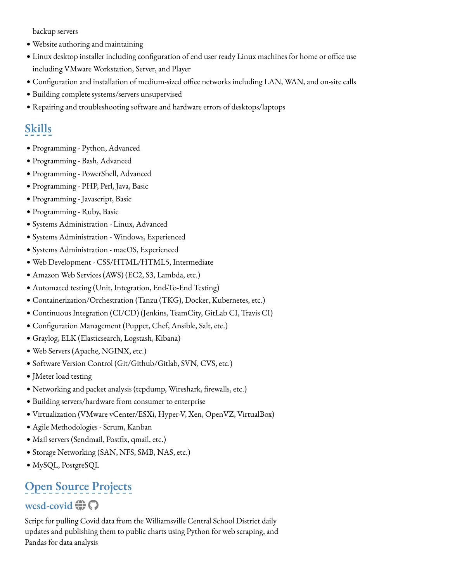backup servers

- · Website authoring and maintaining
- · Linux desktop installer including configuration of end user ready Linux machines for home or office use including VMware Workstation, Server, and Player
- . Configuration and installation of medium-sized office networks including LAN, WAN, and on-site calls
- !" Building complete systems/servers unsupervised
- !" Repairing and troubleshooting software and hardware errors of desktops/laptops

# **Skills**

- · Programming Python, Advanced
- · Programming Bash, Advanced
- · Programming PowerShell, Advanced
- · Programming PHP, Perl, Java, Basic
- · Programming Javascript, Basic
- · Programming Ruby, Basic
- · Systems Administration Linux, Advanced
- · Systems Administration Windows, Experienced
- · Systems Administration macOS, Experienced
- · Web Development CSS/HTML/HTML5, Intermediate
- !" Amazon Web Services (AWS) (EC2, S3, Lambda, etc.)
- $\bullet$  Automated testing (Unit, Integration, End-To-End Testing)
- · Containerization/Orchestration (Tanzu (TKG), Docker, Kubernetes, etc.)
- · Continuous Integration (CI/CD) (Jenkins, TeamCity, GitLab CI, Travis CI)
- · Configuration Management (Puppet, Chef, Ansible, Salt, etc.)
- !" Graylog, ELK (Elasticsearch, Logstash, Kibana)
- · Web Servers (Apache, NGINX, etc.)
- · Software Version Control (Git/Github/Gitlab, SVN, CVS, etc.)
- · JMeter load testing
- !" Networking and packet analysis (tcpdump, Wireshark, frewalls, etc.)
- · Building servers/hardware from consumer to enterprise
- · Virtualization (VMware vCenter/ESXi, Hyper-V, Xen, OpenVZ, VirtualBox)
- !" Agile Methodologies Scrum, Kanban
- · Mail servers (Sendmail, Postfix, qmail, etc.)
- · Storage Networking (SAN, NFS, SMB, NAS, etc.)
- · MySQL, PostgreSQL

# **Open Source Projects**

## $\mathbf{w}$ csd-covid  $\bigoplus$   $\bigcap$

Script for pulling Covid data from the Williamsville Central School District daily updates and publishing them to public charts using Python for web scraping, and Pandas for data analysis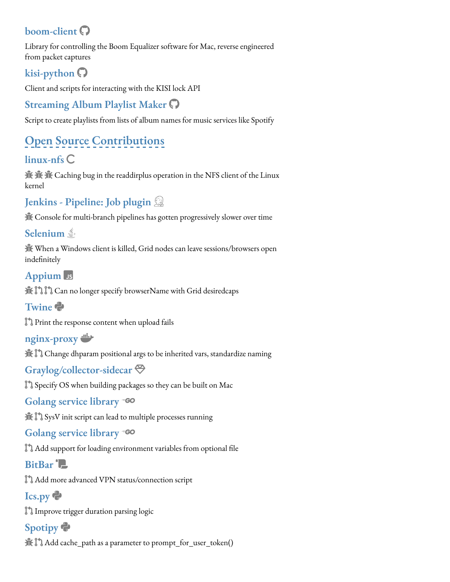# **boom-client** [!](https://github.com/jessejoe/boom_client)

Library for controlling the Boom Equalizer software for Mac, reverse engineered from packet captures

# **kisi-python** [!](https://github.com/jessejoe/kisi-python)

Client and scripts for interacting with the KISI lock API

# **Streaming Album Playlist Maker** [!](https://github.com/jessejoe/streaming_album_playlist_maker)

Script to create playlists from lists of album names for music services like Spotify

# **Open Source Contributions**

# **linux-nfs** C

**K**:  $\mathbf{\hat{R}}$   $\mathbf{\hat{R}}$  [\(](https://docs.google.com/document/d/1saQV-yRXCnmLDWrNd2korc-TiAo9eMPf1WwoSej7rJU/edit?usp=sharing) Caching bug in the readdirplus operation in the NFS client of the Linux kernel

# **Jenkins - Pipeline: Job plugin** #

 $\hat{\mathbb{R}}$  Console for multi-branch pipelines has gotten progressively slower over time

## **Selenium**

The When a Windows client is killed, Grid nodes can leave sessions/browsers open indefnitely

## **Appium** Js

 $\mathbf{H}$  [\)](https://github.com/appium/appium-android-driver/pull/139) ) Can no longer specify browserName with Grid desiredcaps

## **Twine** &

[\)](https://github.com/pypa/twine/pull/337) Print the response content when upload fails

### **nginx-proxy** '

The  $\mathbb I$  Change dhparam positional args to be inherited vars, standardize naming

## **Graylog/collector-sidecar** !

[\)](https://github.com/Graylog2/collector-sidecar/pull/94) Specify OS when building packages so they can be built on Mac

## **Golang service library** (

 $\mathbf{R}$  SysV init script can lead to multiple processes running

### **Golang service library** (

 $\mathbb{I}$  Add support for loading environment variables from optional file

## **BitBar** \*

[\)](https://github.com/matryer/bitbar-plugins/pull/388) Add more advanced VPN status/connection script

# **Ics.py** &

[\)](https://github.com/C4ptainCrunch/ics.py/pull/148) Improve trigger duration parsing logic

# **Spotipy** &

The  $\mathbb J$  Add cache\_path as a parameter to prompt\_for\_user\_token[\(](https://github.com/plamere/spotipy/issues/167)[\)](https://github.com/plamere/spotipy/pull/169)